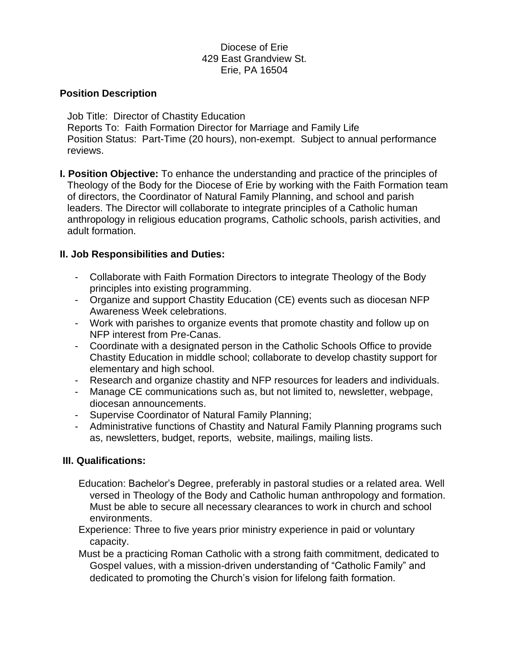## Diocese of Erie 429 East Grandview St. Erie, PA 16504

#### **Position Description**

Job Title: Director of Chastity Education Reports To: Faith Formation Director for Marriage and Family Life Position Status: Part-Time (20 hours), non-exempt. Subject to annual performance reviews.

**I. Position Objective:** To enhance the understanding and practice of the principles of Theology of the Body for the Diocese of Erie by working with the Faith Formation team of directors, the Coordinator of Natural Family Planning, and school and parish leaders. The Director will collaborate to integrate principles of a Catholic human anthropology in religious education programs, Catholic schools, parish activities, and adult formation.

## **II. Job Responsibilities and Duties:**

- Collaborate with Faith Formation Directors to integrate Theology of the Body principles into existing programming.
- Organize and support Chastity Education (CE) events such as diocesan NFP Awareness Week celebrations.
- Work with parishes to organize events that promote chastity and follow up on NFP interest from Pre-Canas.
- Coordinate with a designated person in the Catholic Schools Office to provide Chastity Education in middle school; collaborate to develop chastity support for elementary and high school.
- Research and organize chastity and NFP resources for leaders and individuals.
- Manage CE communications such as, but not limited to, newsletter, webpage, diocesan announcements.
- Supervise Coordinator of Natural Family Planning;
- Administrative functions of Chastity and Natural Family Planning programs such as, newsletters, budget, reports, website, mailings, mailing lists.

# **III. Qualifications:**

- Education: Bachelor's Degree, preferably in pastoral studies or a related area. Well versed in Theology of the Body and Catholic human anthropology and formation. Must be able to secure all necessary clearances to work in church and school environments.
- Experience: Three to five years prior ministry experience in paid or voluntary capacity.
- Must be a practicing Roman Catholic with a strong faith commitment, dedicated to Gospel values, with a mission-driven understanding of "Catholic Family" and dedicated to promoting the Church's vision for lifelong faith formation.